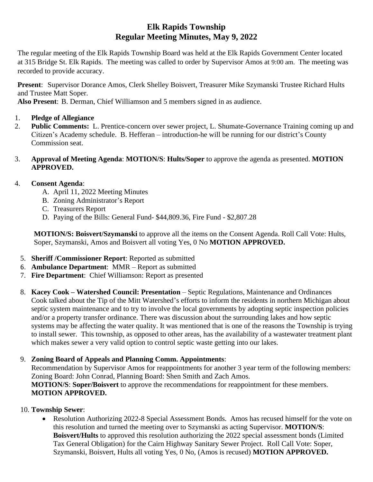# **Elk Rapids Township Regular Meeting Minutes, May 9, 2022**

The regular meeting of the Elk Rapids Township Board was held at the Elk Rapids Government Center located at 315 Bridge St. Elk Rapids. The meeting was called to order by Supervisor Amos at 9:00 am. The meeting was recorded to provide accuracy.

**Present**: Supervisor Dorance Amos, Clerk Shelley Boisvert, Treasurer Mike Szymanski Trustee Richard Hults and Trustee Matt Soper.

**Also Present**: B. Derman, Chief Williamson and 5 members signed in as audience.

- 1. **Pledge of Allegiance**
- 2. **Public Comments:** L. Prentice-concern over sewer project, L. Shumate-Governance Training coming up and Citizen's Academy schedule. B. Hefferan – introduction-he will be running for our district's County Commission seat.

#### 3. **Approval of Meeting Agenda**: **MOTION/S**: **Hults/Soper** to approve the agenda as presented. **MOTION APPROVED.**

## 4. **Consent Agenda**:

- A. April 11, 2022 Meeting Minutes
- B. Zoning Administrator's Report
- C. Treasurers Report
- D. Paying of the Bills: General Fund- \$44,809.36, Fire Fund \$2,807.28

**MOTION/S: Boisvert/Szymanski** to approve all the items on the Consent Agenda. Roll Call Vote: Hults, Soper, Szymanski, Amos and Boisvert all voting Yes, 0 No **MOTION APPROVED.**

- 5. **Sheriff /Commissioner Report**: Reported as submitted
- 6. **Ambulance Department**: MMR Report as submitted
- 7. **Fire Department**: Chief Williamson: Report as presented
- 8. **Kacey Cook – Watershed Council: Presentation** Septic Regulations, Maintenance and Ordinances Cook talked about the Tip of the Mitt Watershed's efforts to inform the residents in northern Michigan about septic system maintenance and to try to involve the local governments by adopting septic inspection policies and/or a property transfer ordinance. There was discussion about the surrounding lakes and how septic systems may be affecting the water quality. It was mentioned that is one of the reasons the Township is trying to install sewer. This township, as opposed to other areas, has the availability of a wastewater treatment plant which makes sewer a very valid option to control septic waste getting into our lakes.

## 9. **Zoning Board of Appeals and Planning Comm. Appointments**:

Recommendation by Supervisor Amos for reappointments for another 3 year term of the following members: Zoning Board: John Conrad, Planning Board: Shen Smith and Zach Amos. **MOTION/S**: **Soper/Boisvert** to approve the recommendations for reappointment for these members. **MOTION APPROVED.**

- 10. **Township Sewer**:
	- Resolution Authorizing 2022-8 Special Assessment Bonds. Amos has recused himself for the vote on this resolution and turned the meeting over to Szymanski as acting Supervisor. **MOTION/S**: **Boisvert/Hults** to approved this resolution authorizing the 2022 special assessment bonds (Limited Tax General Obligation) for the Cairn Highway Sanitary Sewer Project. Roll Call Vote: Soper, Szymanski, Boisvert, Hults all voting Yes, 0 No, (Amos is recused) **MOTION APPROVED.**